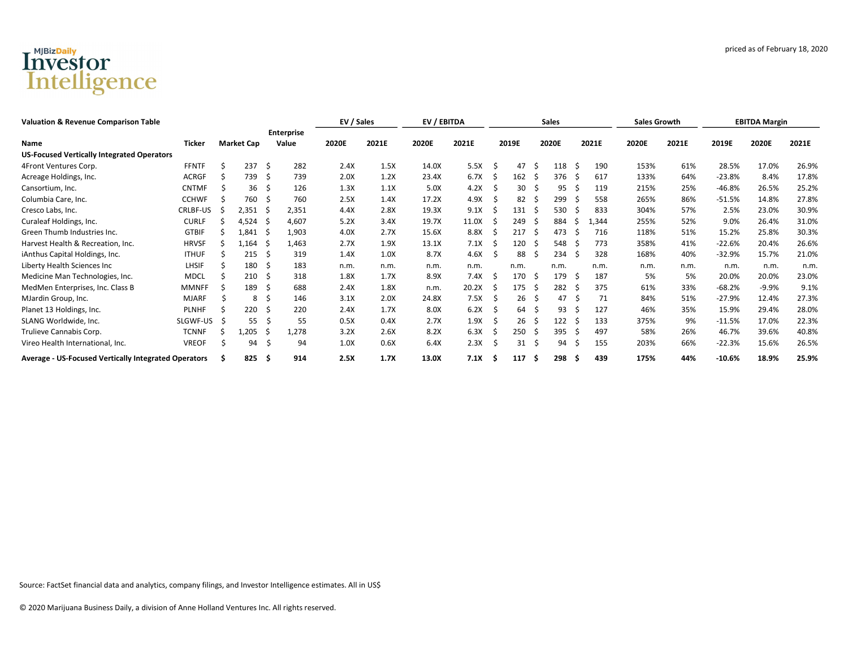## Investor<br>Intelligence

| <b>Valuation &amp; Revenue Comparison Table</b>      |               |                |                   |                |                            | EV / Sales |       | EV / EBITDA |       |    |       |              | <b>Sales</b> |     |       | <b>Sales Growth</b> |       | <b>EBITDA Margin</b> |         |       |
|------------------------------------------------------|---------------|----------------|-------------------|----------------|----------------------------|------------|-------|-------------|-------|----|-------|--------------|--------------|-----|-------|---------------------|-------|----------------------|---------|-------|
| Name                                                 | <b>Ticker</b> |                | <b>Market Cap</b> |                | <b>Enterprise</b><br>Value | 2020E      | 2021E | 2020E       | 2021E |    | 2019E |              | 2020E        |     | 2021E | 2020E               | 2021E | 2019E                | 2020E   | 2021E |
| <b>US-Focused Vertically Integrated Operators</b>    |               |                |                   |                |                            |            |       |             |       |    |       |              |              |     |       |                     |       |                      |         |       |
| 4Front Ventures Corp.                                | <b>FFNTF</b>  |                | 237               | Ŝ.             | 282                        | 2.4X       | 1.5X  | 14.0X       | 5.5X  |    | 47    | S            | 118          | S   | 190   | 153%                | 61%   | 28.5%                | 17.0%   | 26.9% |
| Acreage Holdings, Inc.                               | ACRGF         |                | 739               | S              | 739                        | 2.0X       | 1.2X  | 23.4X       | 6.7X  | S  | 162   | .S           | 376          | . S | 617   | 133%                | 64%   | $-23.8%$             | 8.4%    | 17.8% |
| Cansortium, Inc.                                     | <b>CNTMF</b>  |                | 36                | Ś              | 126                        | 1.3X       | 1.1X  | 5.0X        | 4.2X  |    | 30    |              | 95           |     | 119   | 215%                | 25%   | $-46.8%$             | 26.5%   | 25.2% |
| Columbia Care, Inc.                                  | <b>CCHWF</b>  |                | 760               | S              | 760                        | 2.5X       | 1.4X  | 17.2X       | 4.9X  |    | 82    |              | 299          |     | 558   | 265%                | 86%   | $-51.5%$             | 14.8%   | 27.8% |
| Cresco Labs, Inc.                                    | CRLBF-US      | $\overline{z}$ | 2,351             | 'N             | 2,351                      | 4.4X       | 2.8X  | 19.3X       | 9.1X  |    | 131   |              | 530          |     | 833   | 304%                | 57%   | 2.5%                 | 23.0%   | 30.9% |
| Curaleaf Holdings, Inc.                              | <b>CURLF</b>  |                | 4,524             | -S             | 4,607                      | 5.2X       | 3.4X  | 19.7X       | 11.0X |    | 249   |              | 884          |     | 1,344 | 255%                | 52%   | 9.0%                 | 26.4%   | 31.0% |
| Green Thumb Industries Inc.                          | <b>GTBIF</b>  |                | 1,841             | -S             | 1,903                      | 4.0X       | 2.7X  | 15.6X       | 8.8X  |    | 217   |              | 473          |     | 716   | 118%                | 51%   | 15.2%                | 25.8%   | 30.3% |
| Harvest Health & Recreation, Inc.                    | <b>HRVSF</b>  |                | 1,164             | $\overline{z}$ | 1,463                      | 2.7X       | 1.9X  | 13.1X       | 7.1X  |    | 120   |              | 548          |     | 773   | 358%                | 41%   | $-22.6%$             | 20.4%   | 26.6% |
| iAnthus Capital Holdings, Inc.                       | <b>ITHUF</b>  |                | 215               | S              | 319                        | 1.4X       | 1.0X  | 8.7X        | 4.6X  |    | 88    |              | 234          |     | 328   | 168%                | 40%   | -32.9%               | 15.7%   | 21.0% |
| Liberty Health Sciences Inc                          | LHSIF         |                | 180               | S              | 183                        | n.m.       | n.m.  | n.m.        | n.m.  |    | n.m.  |              | n.m.         |     | n.m.  | n.m.                | n.m.  | n.m.                 | n.m.    | n.m.  |
| Medicine Man Technologies, Inc.                      | <b>MDCL</b>   |                | 210               | S              | 318                        | 1.8X       | 1.7X  | 8.9X        | 7.4X  | -S | 170   | S            | 179          | -S  | 187   | 5%                  | 5%    | 20.0%                | 20.0%   | 23.0% |
| MedMen Enterprises, Inc. Class B                     | MMNFF         |                | 189               | S              | 688                        | 2.4X       | 1.8X  | n.m.        | 20.2X |    | 175   | 5            | 282          |     | 375   | 61%                 | 33%   | $-68.2%$             | $-9.9%$ | 9.1%  |
| MJardin Group, Inc.                                  | MJARF         |                | 8                 | Š.             | 146                        | 3.1X       | 2.0X  | 24.8X       | 7.5X  |    | 26    |              | 47           |     | 71    | 84%                 | 51%   | $-27.9%$             | 12.4%   | 27.3% |
| Planet 13 Holdings, Inc.                             | <b>PLNHF</b>  |                | 220               | Ŝ.             | 220                        | 2.4X       | 1.7X  | 8.0X        | 6.2X  |    | 64    | -S           | 93           |     | 127   | 46%                 | 35%   | 15.9%                | 29.4%   | 28.0% |
| SLANG Worldwide, Inc.                                | SLGWF-US      |                | 55                | S              | 55                         | 0.5X       | 0.4X  | 2.7X        | 1.9X  |    | 26    | <sub>S</sub> | 122          |     | 133   | 375%                | 9%    | $-11.5%$             | 17.0%   | 22.3% |
| Trulieve Cannabis Corp.                              | <b>TCNNF</b>  |                | 1,205             |                | 1,278                      | 3.2X       | 2.6X  | 8.2X        | 6.3X  |    | 250   |              | 395          |     | 497   | 58%                 | 26%   | 46.7%                | 39.6%   | 40.8% |
| Vireo Health International, Inc.                     | <b>VREOF</b>  |                | 94                | S              | 94                         | 1.0X       | 0.6X  | 6.4X        | 2.3X  |    | 31    | -S           | 94           | ž.  | 155   | 203%                | 66%   | $-22.3%$             | 15.6%   | 26.5% |
| Average - US-Focused Vertically Integrated Operators |               |                | 825               | -Ś.            | 914                        | 2.5X       | 1.7X  | 13.0X       | 7.1X  |    | 117   | S            | 298          | -S  | 439   | 175%                | 44%   | $-10.6%$             | 18.9%   | 25.9% |

Source: FactSet financial data and analytics, company filings, and Investor Intelligence estimates. All in US\$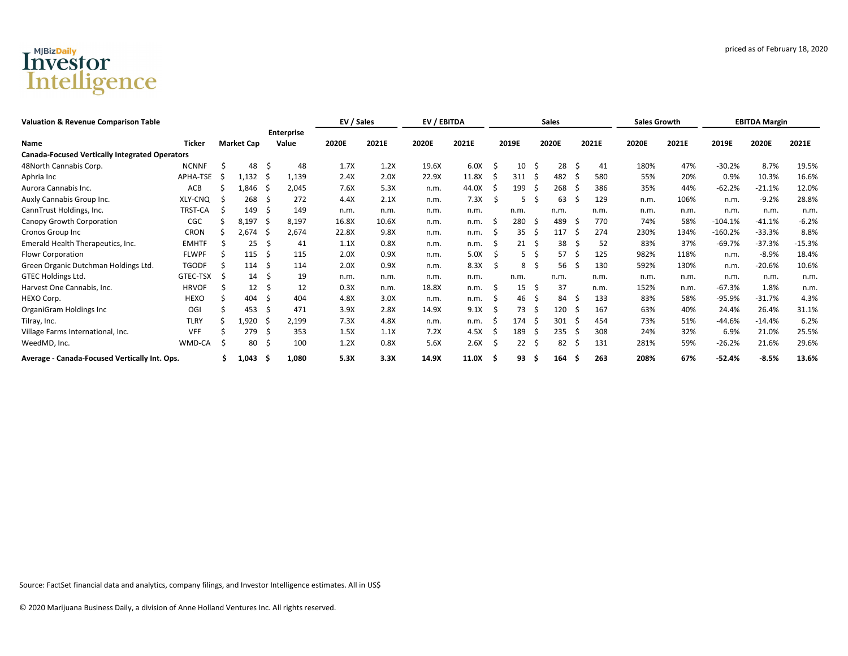## Investor<br>Intelligence

| <b>Valuation &amp; Revenue Comparison Table</b>       |               |    |                   |     | EV / Sales                 |       | EV / EBITDA |       |       |    |       | <b>Sales</b> |       |     | <b>Sales Growth</b> |       | <b>EBITDA Margin</b> |           |          |          |
|-------------------------------------------------------|---------------|----|-------------------|-----|----------------------------|-------|-------------|-------|-------|----|-------|--------------|-------|-----|---------------------|-------|----------------------|-----------|----------|----------|
| <b>Name</b>                                           | <b>Ticker</b> |    | <b>Market Cap</b> |     | <b>Enterprise</b><br>Value | 2020E | 2021E       | 2020E | 2021E |    | 2019E |              | 2020E |     | 2021E               | 2020E | 2021E                | 2019E     | 2020E    | 2021E    |
| <b>Canada-Focused Vertically Integrated Operators</b> |               |    |                   |     |                            |       |             |       |       |    |       |              |       |     |                     |       |                      |           |          |          |
| 48North Cannabis Corp.                                | <b>NCNNF</b>  |    | 48                | -S  | 48                         | 1.7X  | 1.2X        | 19.6X | 6.0X  |    | 10    | -S           | 28    | S   | 41                  | 180%  | 47%                  | $-30.2%$  | 8.7%     | 19.5%    |
| Aphria Inc                                            | APHA-TSE      | -S | 1,132             | - S | 1,139                      | 2.4X  | 2.0X        | 22.9X | 11.8X |    | 311   |              | 482   |     | 580                 | 55%   | 20%                  | 0.9%      | 10.3%    | 16.6%    |
| Aurora Cannabis Inc.                                  | ACB           |    | 1,846             |     | 2,045                      | 7.6X  | 5.3X        | n.m.  | 44.0X |    | 199   |              | 268   |     | 386                 | 35%   | 44%                  | $-62.2%$  | $-21.1%$ | 12.0%    |
| Auxly Cannabis Group Inc.                             | XLY-CNQ       |    | 268               | S   | 272                        | 4.4X  | 2.1X        | n.m.  | 7.3X  |    | 5     |              | 63    |     | 129                 | n.m.  | 106%                 | n.m.      | $-9.2%$  | 28.8%    |
| CannTrust Holdings, Inc.                              | TRST-CA       |    | 149               | S   | 149                        | n.m.  | n.m.        | n.m.  | n.m.  |    | n.m.  |              | n.m.  |     | n.m.                | n.m.  | n.m.                 | n.m.      | n.m.     | n.m      |
| Canopy Growth Corporation                             | CGC           |    | 8,197             | S   | 8,197                      | 16.8X | 10.6X       | n.m.  | n.m.  |    | 280   | -S           | 489   |     | 770                 | 74%   | 58%                  | $-104.1%$ | $-41.1%$ | $-6.2%$  |
| Cronos Group Inc                                      | <b>CRON</b>   |    | 2,674             |     | 2,674                      | 22.8X | 9.8X        | n.m.  | n.m.  |    | 35    |              | 117   |     | 274                 | 230%  | 134%                 | $-160.2%$ | $-33.3%$ | 8.8%     |
| Emerald Health Therapeutics, Inc.                     | <b>EMHTF</b>  |    | 25                | S   | 41                         | 1.1X  | 0.8X        | n.m.  | n.m.  |    | 21    | -S           | 38    |     | 52                  | 83%   | 37%                  | $-69.7%$  | $-37.3%$ | $-15.3%$ |
| <b>Flowr Corporation</b>                              | <b>FLWPF</b>  |    | 115               | S   | 115                        | 2.0X  | 0.9X        | n.m.  | 5.0X  |    |       |              | 57    |     | 125                 | 982%  | 118%                 | n.m.      | $-8.9%$  | 18.4%    |
| Green Organic Dutchman Holdings Ltd.                  | <b>TGODF</b>  |    | 114               | S   | 114                        | 2.0X  | 0.9X        | n.m.  | 8.3X  |    | 8     |              | 56    |     | 130                 | 592%  | 130%                 | n.m.      | $-20.6%$ | 10.6%    |
| GTEC Holdings Ltd.                                    | GTEC-TSX      |    | 14                | S   | 19                         | n.m.  | n.m.        | n.m.  | n.m.  |    | n.m.  |              | n.m.  |     | n.m.                | n.m.  | n.m.                 | n.m.      | n.m.     | n.m.     |
| Harvest One Cannabis, Inc.                            | <b>HRVOF</b>  |    | 12                | \$. | 12                         | 0.3X  | n.m.        | 18.8X | n.m.  |    | 15    | .S           | 37    |     | n.m.                | 152%  | n.m.                 | $-67.3%$  | 1.8%     | n.m.     |
| HEXO Corp.                                            | HEXO          |    | 404               | S   | 404                        | 4.8X  | 3.0X        | n.m.  | n.m.  |    | 46    |              | 84    | -S  | 133                 | 83%   | 58%                  | $-95.9%$  | $-31.7%$ | 4.3%     |
| OrganiGram Holdings Inc                               | OGI           |    | 453               | S   | 471                        | 3.9X  | 2.8X        | 14.9X | 9.1X  |    | 73    | -S           | 120   | - 5 | 167                 | 63%   | 40%                  | 24.4%     | 26.4%    | 31.1%    |
| Tilray, Inc.                                          | <b>TLRY</b>   |    | 1,920             |     | 2,199                      | 7.3X  | 4.8X        | n.m.  | n.m.  |    | 174   |              | 301   |     | 454                 | 73%   | 51%                  | $-44.6%$  | $-14.4%$ | 6.2%     |
| Village Farms International, Inc.                     | <b>VFF</b>    |    | 279               | S   | 353                        | 1.5X  | 1.1X        | 7.2X  | 4.5X  |    | 189   |              | 235   |     | 308                 | 24%   | 32%                  | 6.9%      | 21.0%    | 25.5%    |
| WeedMD, Inc.                                          | WMD-CA        |    | 80                | \$  | 100                        | 1.2X  | 0.8X        | 5.6X  | 2.6X  |    | 22    | -S           | 82    | C.  | 131                 | 281%  | 59%                  | $-26.2%$  | 21.6%    | 29.6%    |
| Average - Canada-Focused Vertically Int. Ops.         |               |    | 1,043 \$          |     | 1,080                      | 5.3X  | 3.3X        | 14.9X | 11.0X | .S | 93    | s            | 164   | -S  | 263                 | 208%  | 67%                  | $-52.4%$  | $-8.5%$  | 13.6%    |

Source: FactSet financial data and analytics, company filings, and Investor Intelligence estimates. All in US\$